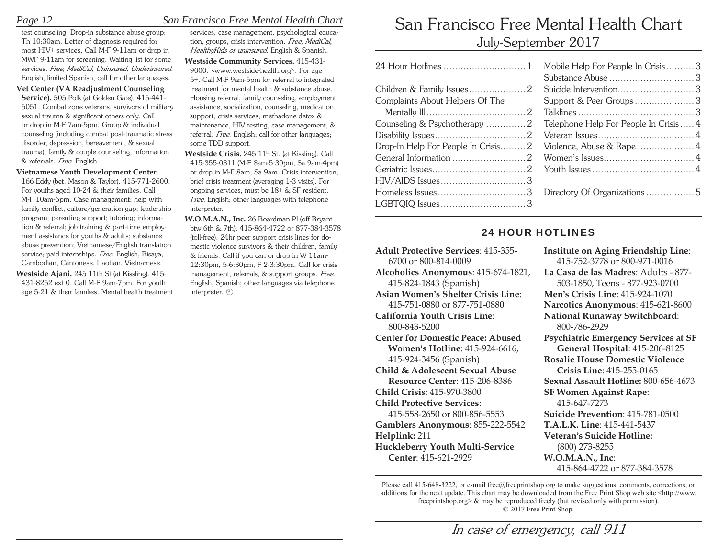## *Page 12 San Francisco Free Mental Health Chart*

test counseling. Drop-in substance abuse group: Th 10:30am. Letter of diagnosis required for most HIV+ services. Call M-F 9-11am or drop in MWF 9-11am for screening. Waiting list for some services*. Free, MediCal, Uninsured, Underinsured*. English, limited Spanish, call for other languages.

 **Vet Center (VA Readjustment Counseling Service).** 505 Polk (at Golden Gate). 415-441- 5051. Combat zone veterans, survivors of military sexual trauma & significant others only. Call or drop in M-F 7am-5pm. Group & individual counseling (including combat post-traumatic stress disorder, depression, bereavement, & sexual trauma), family & couple counseling, information & referrals. *Free*. English.

#### **Vietnamese Youth Development Center.**

166 Eddy (bet. Mason & Taylor). 415-771-2600. For youths aged 10-24 & their families. Call M-F 10am-6pm. Case management; help with family conflict, culture/generation gap; leadership program; parenting support; tutoring; information & referral; job training & part-time employment assistance for youths & adults; substance abuse prevention; Vietnamese/English translation service; paid internships. *Free*. English, Bisaya, Cambodian, Cantonese, Laotian, Vietnamese.

 **Westside Ajani.** 245 11th St (at Kissling). 415- 431-8252 ext 0. Call M-F 9am-7pm. For youth age 5-21 & their families. Mental health treatment

services, case management, psychological education, groups, crisis intervention. *Free, MediCal, HealthyKids or uninsured.* English & Spanish.

 **Westside Community Services.** 415-431- 9000. <www.westside-health.org>. For age 5+. Call M-F 9am-5pm for referral to integrated treatment for mental health & substance abuse. Housing referral, family counseling, employment assistance, socialization, counseling, medication support, crisis services, methadone detox & maintenance, HIV testing, case management, & referral. *Free*. English; call for other languages; some TDD support.

Westside Crisis. 245 11<sup>th</sup> St. (at Kissling). Call 415-355-0311 (M-F 8am-5:30pm, Sa 9am-4pm) or drop in M-F 8am, Sa 9am. Crisis intervention, brief crisis treatment (averaging 1-3 visits). For ongoing services, must be 18+ & SF resident. *Free.* English; other languages with telephone interpreter.

 **W.O.M.A.N., Inc.** 26 Boardman Pl (off Bryant btw 6th & 7th). 415-864-4722 or 877-384-3578 (toll-free). 24hr peer support crisis lines for domestic violence survivors & their children, family & friends. Call if you can or drop in W 11am-12:30pm, 5-6:30pm, F 2-3:30pm. Call for crisis management, referrals, & support groups. *Free*. English, Spanish; other languages via telephone interpreter.  $\oplus$ 

# San Francisco Free Mental Health ChartJuly-September 2017

|                                 | Mobile Help For People In Crisis3     |  |
|---------------------------------|---------------------------------------|--|
|                                 |                                       |  |
|                                 |                                       |  |
| Complaints About Helpers Of The | Support & Peer Groups3                |  |
|                                 |                                       |  |
|                                 | Telephone Help For People In Crisis 4 |  |
|                                 |                                       |  |
|                                 |                                       |  |
|                                 |                                       |  |
|                                 |                                       |  |
|                                 |                                       |  |
|                                 |                                       |  |
|                                 |                                       |  |
|                                 |                                       |  |

## 24 HOUR HOTLINES

**Adult Protective Services**: 415-355-6700 or 800-814-0009**Alcoholics Anonymous**: 415-674-1821, 415-824-1843 (Spanish) **Asian Women's Shelter Crisis Line**: 415-751-0880 or 877-751-0880**California Youth Crisis Line**: 800-843-5200**Center for Domestic Peace: Abused Women's Hotline**: 415-924-6616, 415-924-3456 (Spanish) **Child & Adolescent Sexual Abuse Resource Center**: 415-206-8386**Child Crisis**: 415-970-3800**Child Protective Services**: 415-558-2650 or 800-856-5553**Gamblers Anonymous**: 855-222-5542 **Helplink:** 211 **Huckleberry Youth Multi-Service Center**: 415-621-2929**Institute on Aging Friendship Line**: 415-752-3778 or 800-971-0016**La Casa de las Madres**: Adults - 877-503-1850, Teens - 877-923-0700 **Men's Crisis Line**: 415-924-1070**Narcotics Anonymous**: 415-621-8600 **National Runaway Switchboard**: 800-786-2929**Psychiatric Emergency Services at SF General Hospital**: 415-206-8125 **Rosalie House Domestic Violence Crisis Line**: 415-255-0165**Sexual Assault Hotline:** 800-656-4673**SF Women Against Rape**: 415-647-7273**Suicide Prevention**: 415-781-0500**T.A.L.K. Line**: 415-441-5437**Veteran's Suicide Hotline:**  (800) 273-8255 **W.O.M.A.N., Inc**: 415-864-4722 or 877-384-3578

Please call 415-648-3222, or e-mail free@freeprintshop.org to make suggestions, comments, corrections, or additions for the next update. This chart may be downloaded from the Free Print Shop web site <http://www. freeprintshop.org> & may be reproduced freely (but revised only with permission). © 2017 Free Print Shop.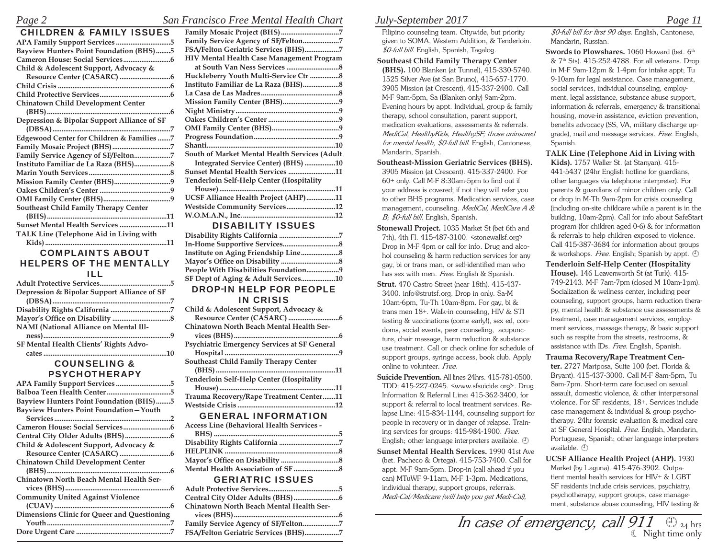#### *Page 2 San Francisco Free Mental Health Chart*

| <b>CHILDREN &amp; FAMILY ISSUES</b>            |
|------------------------------------------------|
| APA Family Support Services 5                  |
| <b>Bayview Hunters Point Foundation (BHS)5</b> |
|                                                |
| Child & Adolescent Support, Advocacy &         |
|                                                |
|                                                |
|                                                |
| <b>Chinatown Child Development Center</b>      |
|                                                |
| Depression & Bipolar Support Alliance of SF    |
|                                                |
| Edgewood Center for Children & Families 7      |
|                                                |
| Family Service Agency of SF/Felton7            |
|                                                |
|                                                |
|                                                |
|                                                |
|                                                |
| Southeast Child Family Therapy Center          |
|                                                |
| Sunset Mental Health Services 11               |
| TALK Line (Telephone Aid in Living with        |
|                                                |

## COMPLAINTS ABOUT HELPERS OF THE MENTALLY ILL

| Depression & Bipolar Support Alliance of SF   |  |
|-----------------------------------------------|--|
|                                               |  |
|                                               |  |
|                                               |  |
| <b>NAMI</b> (National Alliance on Mental Ill- |  |
|                                               |  |
| SF Mental Health Clients' Rights Advo-        |  |
|                                               |  |

#### COUNSELING & PSYCHOTHERAPY

| APA Family Support Services 5                  |  |
|------------------------------------------------|--|
|                                                |  |
| <b>Bayview Hunters Point Foundation (BHS)5</b> |  |
| Bayview Hunters Point Foundation-Youth         |  |
|                                                |  |
|                                                |  |
|                                                |  |
| Child & Adolescent Support, Advocacy &         |  |
|                                                |  |
| <b>Chinatown Child Development Center</b>      |  |
|                                                |  |
| Chinatown North Beach Mental Health Ser-       |  |
|                                                |  |
| <b>Community United Against Violence</b>       |  |
|                                                |  |
| Dimensions Clinic for Queer and Questioning    |  |
|                                                |  |
|                                                |  |

| Family Service Agency of SF/Felton7           |
|-----------------------------------------------|
| FSA/Felton Geriatric Services (BHS)7          |
| HIV Mental Health Case Management Program     |
|                                               |
| Huckleberry Youth Multi-Service Ctr 8         |
|                                               |
|                                               |
| Mission Family Center (BHS)9                  |
|                                               |
|                                               |
|                                               |
|                                               |
|                                               |
| South of Market Mental Health Services (Adult |
| Integrated Service Center) (BHS) 10           |
| Sunset Mental Health Services 11              |
| Tenderloin Self-Help Center (Hospitality      |
|                                               |
| UCSF Alliance Health Project (AHP)11          |
| Westside Community Services12                 |
|                                               |
| <b>DISABILITY ISSUES</b>                      |
|                                               |
|                                               |
|                                               |
|                                               |
| People With Disabilities Foundation9          |
| SF Dept of Aging & Adult Services10           |
| <b>DROP-IN HELP FOR PEOPLE</b>                |
| <b>IN CRISIS</b>                              |
| Child & Adolescent Support, Advocacy &        |
|                                               |
| Chinatown North Beach Mental Health Ser-      |
|                                               |
| Psychiatric Emergency Services at SF General  |
|                                               |
| Southeast Child Family Therapy Center         |
|                                               |
| Tenderloin Self-Help Center (Hospitality      |
|                                               |
| Trauma Recovery/Rape Treatment Center11       |
|                                               |
| <b>GENERAL INFORMATION</b>                    |
| Access Line (Behavioral Health Services -     |

### GERIATRIC ISSUES

| Chinatown North Beach Mental Health Ser- |  |
|------------------------------------------|--|
|                                          |  |
| Family Service Agency of SF/Felton7      |  |
| FSA/Felton Geriatric Services (BHS)7     |  |

## *July-September 2017 Page 11*

Filipino counseling team. Citywide, but priority given to SOMA, Western Addition, & Tenderloin. *\$0-full bill*. English, Spanish, Tagalog.

- **Southeast Child Family Therapy Center**
- **(BHS).** 100 Blanken (at Tunnel), 415-330-5740. 1525 Silver Ave (at San Bruno), 415-657-1770. 3905 Mission (at Crescent), 415-337-2400. Call M-F 9am-5pm, Sa (Blanken only) 9am-2pm. Evening hours by appt. Individual, group & family therapy, school consultation, parent support, medication evaluations, assessments & referrals. *MediCal, HealthyKids, HealthySF; those uninsured for mental health, \$0-full bill*. English, Cantonese, Mandarin, Spanish.

 **Southeast-Mission Geriatric Services (BHS).**  3905 Mission (at Crescent). 415-337-2400. For 60+ only. Call M-F 8:30am-5pm to find out if your address is covered; if not they will refer you to other BHS programs. Medication services, case management, counseling. *MediCal, MediCare A &* 

- *B; \$0-full bill*. English, Spanish.  **Stonewall Project.** 1035 Market St (bet 6th and 7th), 4th Fl. 415-487-3100. <stonewallsf.org> Drop in M-F 4pm or call for info. Drug and alcohol counseling & harm reduction services for any gay, bi or trans man, or self-identified man who has sex with men. *Free*. English & Spanish.
- **Strut.** 470 Castro Street (near 18th). 415-437- 3400. info@strutsf.org. Drop in only. Sa-M 10am-6pm, Tu-Th 10am-8pm. For gay, bi & trans men 18+. Walk-in counseling, HIV & STI testing & vaccinations (come early!), sex ed, condoms, social events, peer counseling, acupuncture, chair massage, harm reduction & substance use treatment. Call or check online for schedule of support groups, syringe access, book club. Apply online to volunteer. *Free.*
- **Suicide Prevention.** All lines 24hrs. 415-781-0500. TDD: 415-227-0245. <www.sfsuicide.org>. Drug Information & Referral Line: 415-362-3400, for support & referral to local treatment services. Relapse Line: 415-834-1144, counseling support for people in recovery or in danger of relapse. Training services for groups: 415-984-1900. *Free*. English; other language interpreters available.  $\oplus$
- **Sunset Mental Health Services.** 1990 41st Ave (bet. Pacheco & Ortega). 415-753-7400. Call for appt. M-F 9am-5pm. Drop-in (call ahead if you can) MTuWF 9-11am, M-F 1-3pm. Medications, individual therapy, support groups, referrals. *Medi-Cal/Medicare (will help you get Medi-Cal),*

*\$0-full bill for first 90 days*. English, Cantonese, Mandarin, Russian.

**Swords to Plowshares.** 1060 Howard (bet. 6<sup>th</sup>  $\&$  7<sup>th</sup> Sts). 415-252-4788. For all veterans. Drop in M-F 9am-12pm & 1-4pm for intake appt; Tu 9-10am for legal assistance. Case management, social services, individual counseling, employment, legal assistance, substance abuse support, information & referrals, emergency & transitional housing, move-in assistance, eviction prevention, benefits advocacy (SS, VA, military discharge upgrade), mail and message services. *Free*. English, Spanish.

 **TALK Line (Telephone Aid in Living with Kids).** 1757 Waller St. (at Stanyan). 415- 441-5437 (24hr English hotline for guardians, other languages via telephone interpreter). For parents & guardians of minor children only. Call or drop in M-Th 9am-2pm for crisis counseling (including on-site childcare while a parent is in the building, 10am-2pm). Call for info about SafeStart program (for children aged 0-6) & for information & referrals to help children exposed to violence. Call 415-387-3684 for information about groups & workshops. *Free*. English; Spanish by appt.

- **Tenderloin Self-Help Center (Hospitality House).** 146 Leavenworth St (at Turk). 415- 749-2143. M-F 7am-7pm (closed M 10am-1pm). Socialization & wellness center, including peer counseling, support groups, harm reduction therapy, mental health & substance use assessments & treatment, case management services, employment services, massage therapy, & basic support such as respite from the streets, restrooms, & assistance with IDs. *Free*. English, Spanish.
- **Trauma Recovery/Rape Treatment Center.** 2727 Mariposa, Suite 100 (bet. Florida & Bryant). 415-437-3000. Call M-F 8am-5pm, Tu 8am-7pm. Short-term care focused on sexual assault, domestic violence, & other interpersonal violence. For SF residents, 18+. Services include case management & individual & group psychotherapy. 24hr forensic evaluation & medical care at SF General Hospital. *Free*. English, Mandarin, Portuguese, Spanish; other language interpreters available.
- **UCSF Alliance Health Project (AHP).** 1930 Market (by Laguna). 415-476-3902. Outpatient mental health services for HIV+ & LGBT SF residents include crisis services, psychiatry, psychotherapy, support groups, case management, substance abuse counseling, HIV testing &

**FSA/Felton Geriatric Services (BHS) ...................7** *In case of emergency, call 911*  24 hrs Night time only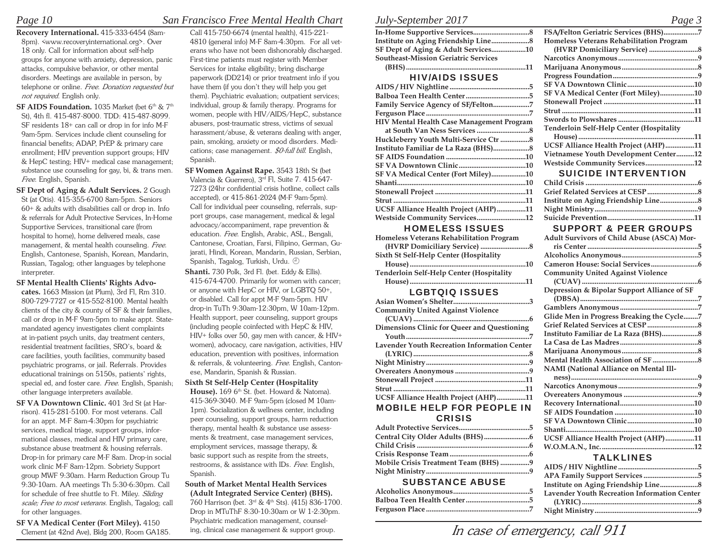## *Page 10 San Francisco Free Mental Health Chart*

 **Recovery International.** 415-333-6454 (8am-8pm). <www.recoveryinternational.org>. Over 18 only. Call for information about self-help groups for anyone with anxiety, depression, panic attacks, compulsive behavior, or other mental disorders. Meetings are available in person, by telephone or online. *Free*. *Donation requested but not required*. English only.

**SF AIDS Foundation.** 1035 Market (bet 6<sup>th</sup> & 7<sup>th</sup> St), 4th fl. 415-487-8000. TDD: 415-487-8099. SF residents 18+ can call or drop in for info M-F 9am-5pm. Services include client counseling for financial benefits; ADAP, PrEP & primary care enrollment; HIV prevention support groups; HIV & HepC testing; HIV+ medical case management; substance use counseling for gay, bi, & trans men. *Free*. English, Spanish.

 **SF Dept of Aging & Adult Services.** 2 Gough St (at Otis). 415-355-6700 8am-5pm. Seniors 60+ & adults with disabilities call or drop in. Info & referrals for Adult Protective Services, In-Home Supportive Services, transitional care (from hospital to home), home delivered meals, case management, & mental health counseling. *Free.* English, Cantonese, Spanish, Korean, Mandarin, Russian, Tagalog; other languages by telephone interpreter.

 **SF Mental Health Clients' Rights Advo-**

**cates.** 1663 Mission (at Plum), 3rd Fl, Rm 310. 800-729-7727 or 415-552-8100. Mental health clients of the city & county of SF & their families, call or drop in M-F 9am-5pm to make appt. Statemandated agency investigates client complaints at in-patient psych units, day treatment centers, residential treatment facilities, SRO's, board & care facilities, youth facilities, community based psychiatric programs, or jail. Referrals. Provides educational trainings on 5150s, patients' rights, special ed, and foster care. *Free*. English, Spanish; other language interpreters available.

 **SF VA Downtown Clinic.** 401 3rd St (at Harrison). 415-281-5100. For most veterans. Call for an appt. M-F 8am-4:30pm for psychiatric services, medical triage, support groups, informational classes, medical and HIV primary care, substance abuse treatment & housing referrals. Drop-in for primary care M-F 8am. Drop-in social work clinic M-F 8am-12pm. Sobriety Support group MWF 9:30am. Harm Reduction Group Tu 9:30-10am. AA meetings Th 5:30-6:30pm. Call for schedule of free shuttle to Ft. Miley. *Sliding scale; Free to most veterans*. English, Tagalog; call for other languages.

 **SF VA Medical Center (Fort Miley).** 4150 Clement (at 42nd Ave), Bldg 200, Room GA185.

Call 415-750-6674 (mental health), 415-221- 4810 (general info) M-F 8am-4:30pm. For all veterans who have not been dishonorably discharged. First-time patients must register with Member Services for intake eligibility; bring discharge paperwork (DD214) or prior treatment info if you have them (if you don't they will help you get them). Psychiatric evaluation; outpatient services; individual, group & family therapy. Programs for women, people with HIV/AIDS/HepC, substance abusers, post-traumatic stress, victims of sexual harassment/abuse, & veterans dealing with anger, pain, smoking, anxiety or mood disorders. Medications; case management. *\$0-full bill*. English, Spanish.

 **SF Women Against Rape.** 3543 18th St (bet Valencia & Guerrero), 3rd Fl, Suite 7. 415-647- 7273 (24hr confidential crisis hotline, collect calls accepted), or 415-861-2024 (M-F 9am-5pm). Call for individual peer counseling, referrals, support groups, case management, medical & legal advocacy/accompaniment, rape prevention & education. *Free*. English, Arabic, ASL, Bengali, Cantonese, Croatian, Farsi, Filipino, German, Gujarati, Hindi, Korean, Mandarin, Russian, Serbian, Spanish, Tagalog, Turkish, Urdu.

 **Shanti.** 730 Polk, 3rd Fl. (bet. Eddy & Ellis). 415-674-4700. Primarily for women with cancer; or anyone with HepC or HIV, or LGBTQ 50+, or disabled. Call for appt M-F 9am-5pm. HIV drop-in TuTh 9:30am-12:30pm, W 10am-12pm. Health support, peer counseling, support groups (including people coinfected with HepC & HIV, HIV+ folks over 50, gay men with cancer, & HIV+ women), advocacy, care navigation, activities, HIV education, prevention with positives, information & referrals, & volunteering. *Free*. English, Cantonese, Mandarin, Spanish & Russian.

 **Sixth St Self-Help Center (Hospitality** 

House). 169 6<sup>th</sup> St. (bet. Howard & Natoma). 415-369-3040. M-F 9am-5pm (closed M 10am-1pm). Socialization & wellness center, including peer counseling, support groups, harm reduction therapy, mental health & substance use assessments & treatment, case management services, employment services, massage therapy, & basic support such as respite from the streets, restrooms, & assistance with IDs. *Free*. English, Spanish.

 **South of Market Mental Health Services (Adult Integrated Service Center) (BHS).** 760 Harrison (bet. 3rd & 4th Sts). (415) 836-1700. Drop in MTuThF 8:30-10:30am or W 1-2:30pm. Psychiatric medication management, counseling, clinical case management & support group.

## *July-September 2017 Page 3*

| SF Dept of Aging & Adult Services10  |  |
|--------------------------------------|--|
| Southeast-Mission Geriatric Services |  |
|                                      |  |

### HIV/AIDS ISSUES

| Family Service Agency of SF/Felton7              |
|--------------------------------------------------|
|                                                  |
| <b>HIV Mental Health Case Management Program</b> |
|                                                  |
|                                                  |
|                                                  |
|                                                  |
|                                                  |
| SF VA Medical Center (Fort Miley)10              |
|                                                  |
|                                                  |
|                                                  |
| UCSF Alliance Health Project (AHP)11             |
| Westside Community Services12                    |

#### HOMELESS ISSUES

| Homeless Veterans Rehabilitation Program |  |
|------------------------------------------|--|
|                                          |  |
| Sixth St Self-Help Center (Hospitality   |  |
|                                          |  |
| Tenderloin Self-Help Center (Hospitality |  |
|                                          |  |
|                                          |  |

### LGBTQIQ ISSUES

| <b>Community United Against Violence</b>            |
|-----------------------------------------------------|
|                                                     |
| Dimensions Clinic for Queer and Questioning         |
|                                                     |
| <b>Lavender Youth Recreation Information Center</b> |
|                                                     |
|                                                     |
|                                                     |
|                                                     |
|                                                     |
| UCSF Alliance Health Project (AHP)11                |
| <b>MOBILE HELP FOR PEOPLE IN</b>                    |

## CRISIS

| Mobile Crisis Treatment Team (BHS) 9 |  |
|--------------------------------------|--|
|                                      |  |
|                                      |  |

### SUBSTANCE ABUSE

| SF VA Medical Center (Fort Miley)10      |  |
|------------------------------------------|--|
|                                          |  |
|                                          |  |
|                                          |  |
| Tenderloin Self-Help Center (Hospitality |  |
|                                          |  |
| UCSF Alliance Health Project (AHP)11     |  |
| Vietnamese Youth Development Center12    |  |
| Westside Community Services12            |  |
| <b>SUICIDE INTERVENTION</b>              |  |
|                                          |  |
|                                          |  |
|                                          |  |
|                                          |  |
|                                          |  |

**FSA/Felton Geriatric Services (BHS) Homeless Veterans Rehabilitation Program** 

#### SUPPORT & PEER GROUPS

| <b>Adult Survivors of Child Abuse (ASCA) Mor-</b> |  |
|---------------------------------------------------|--|
|                                                   |  |
|                                                   |  |
|                                                   |  |
| <b>Community United Against Violence</b>          |  |
|                                                   |  |
| Depression & Bipolar Support Alliance of SF       |  |
|                                                   |  |
|                                                   |  |
| Glide Men in Progress Breaking the Cycle 7        |  |
|                                                   |  |
| Instituto Familiar de La Raza (BHS)8              |  |
|                                                   |  |
|                                                   |  |
|                                                   |  |
| <b>NAMI</b> (National Alliance on Mental Ill-     |  |
|                                                   |  |
|                                                   |  |
|                                                   |  |
|                                                   |  |
|                                                   |  |
|                                                   |  |
|                                                   |  |
| UCSF Alliance Health Project (AHP)11              |  |
|                                                   |  |
| TAI VI INES                                       |  |

### TALKLINES

| <b>Lavender Youth Recreation Information Center</b> |  |
|-----------------------------------------------------|--|
|                                                     |  |
|                                                     |  |

*In case of emergency, call 911*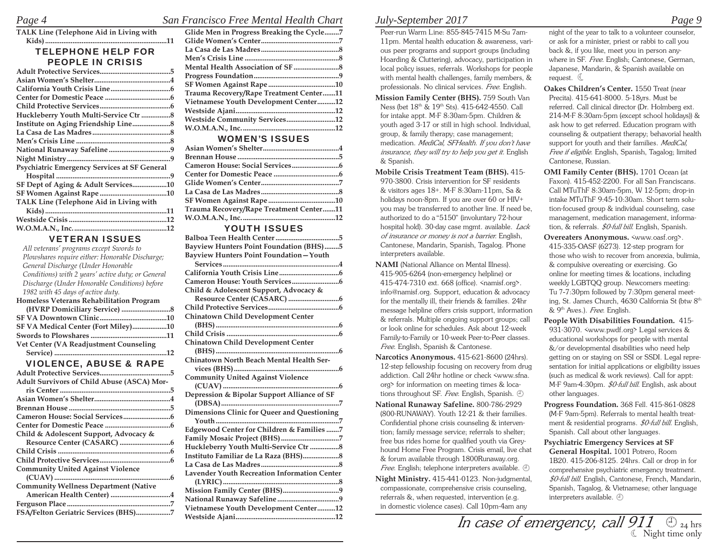#### *Page 4 San Francisco Free Mental Health Chart* **Glide Men in Progress Breaking the Cycle ........7**

| TALK Line (Telephone Aid in Living with      |  |
|----------------------------------------------|--|
| .11                                          |  |
| <b>TELEPHONE HELP FOR</b>                    |  |
| <b>PEOPLE IN CRISIS</b>                      |  |
|                                              |  |
|                                              |  |
|                                              |  |
|                                              |  |
|                                              |  |
| Huckleberry Youth Multi-Service Ctr 8        |  |
|                                              |  |
|                                              |  |
|                                              |  |
|                                              |  |
|                                              |  |
| Psychiatric Emergency Services at SF General |  |
|                                              |  |
| SF Dept of Aging & Adult Services10          |  |
|                                              |  |
| TALK Line (Telephone Aid in Living with      |  |
|                                              |  |
|                                              |  |
|                                              |  |

#### VETERAN ISSUES

| All veterans' programs except Swords to           |
|---------------------------------------------------|
| Plowshares require either: Honorable Discharge;   |
| General Discharge (Under Honorable                |
| Conditions) with 2 years' active duty; or General |
| Discharge (Under Honorable Conditions) before     |
| 1982 with 45 days of active duty.                 |
| Homeless Veterans Rehabilitation Program          |
|                                                   |
|                                                   |
| SF VA Medical Center (Fort Miley)10               |
|                                                   |
| Vet Center (VA Readjustment Counseling            |
|                                                   |
| <b>VIOLENCE, ABUSE &amp; RAPE</b>                 |
|                                                   |
| . 5                                               |
| Adult Survivors of Child Abuse (ASCA) Mor-        |
|                                                   |
|                                                   |
|                                                   |
|                                                   |
|                                                   |
|                                                   |
| Child & Adolescent Support, Advocacy &            |
|                                                   |
|                                                   |
|                                                   |
| <b>Community United Against Violence</b>          |
|                                                   |
|                                                   |
| <b>Community Wellness Department (Native</b>      |
| American Health Center) 4                         |
| FSA/Felton Geriatric Services (BHS)7              |

| Glide Men in Progress Breaking the Cycle/ |  |
|-------------------------------------------|--|
|                                           |  |
|                                           |  |
|                                           |  |
|                                           |  |
|                                           |  |
|                                           |  |
| Trauma Recovery/Rape Treatment Center11   |  |
| Vietnamese Youth Development Center12     |  |
|                                           |  |
| Westside Community Services12             |  |
|                                           |  |
|                                           |  |

#### WOMEN'S ISSUES

| Trauma Recovery/Rape Treatment Center11 |  |
|-----------------------------------------|--|
|                                         |  |
|                                         |  |

### YOUTH ISSUES

| <b>Bayview Hunters Point Foundation (BHS)5</b>      |
|-----------------------------------------------------|
| Bayview Hunters Point Foundation-Youth              |
|                                                     |
|                                                     |
|                                                     |
| Child & Adolescent Support, Advocacy &              |
|                                                     |
|                                                     |
| Chinatown Child Development Center                  |
|                                                     |
|                                                     |
| Chinatown Child Development Center                  |
|                                                     |
| Chinatown North Beach Mental Health Ser-            |
|                                                     |
| <b>Community United Against Violence</b>            |
|                                                     |
| Depression & Bipolar Support Alliance of SF         |
|                                                     |
| Dimensions Clinic for Queer and Questioning         |
|                                                     |
| Edgewood Center for Children & Families 7           |
| Family Mosaic Project (BHS)7                        |
| Huckleberry Youth Multi-Service Ctr 8               |
|                                                     |
|                                                     |
| <b>Lavender Youth Recreation Information Center</b> |
|                                                     |
|                                                     |
|                                                     |
| Vietnamese Youth Development Center12               |
|                                                     |
|                                                     |

## *July-September 2017 Page 9*

Peer-run Warm Line: 855-845-7415 M-Su 7am-11pm. Mental health education & awareness, various peer programs and support groups (including Hoarding & Cluttering), advocacy, participation in local policy issues, referrals. Workshops for people with mental health challenges, family members, & professionals. No clinical services. *Free*. English.

 **Mission Family Center (BHS).** 759 South Van Ness (bet 18<sup>th</sup> & 19<sup>th</sup> Sts). 415-642-4550. Call for intake appt. M-F 8:30am-5pm. Children & youth aged 3-17 or still in high school. Individual, group, & family therapy; case management; medication. *MediCal, SFHealth. If you don't have insurance, they will try to help you get it.* English & Spanish.

 **Mobile Crisis Treatment Team (BHS).** 415- 970-3800. Crisis intervention for SF residents & visitors ages 18+. M-F 8:30am-11pm, Sa & holidays noon-8pm. If you are over 60 or HIV+ you may be transferred to another line. If need be, authorized to do a "5150" (involuntary 72-hour hospital hold). 30-day case mgmt. available. *Lack of insurance or money is not a barrier.* English, Cantonese, Mandarin, Spanish, Tagalog. Phone interpreters available.

 **NAMI** (National Alliance on Mental Illness). 415-905-6264 (non-emergency helpline) or 415-474-7310 ext. 668 (office). <namisf.org>. info@namisf.org. Support, education & advocacy for the mentally ill, their friends & families. 24hr message helpline offers crisis support, information & referrals. Multiple ongoing support groups; call or look online for schedules. Ask about 12-week Family-to-Family or 10-week Peer-to-Peer classes. *Free*. English, Spanish & Cantonese.

 **Narcotics Anonymous.** 415-621-8600 (24hrs). 12-step fellowship focusing on recovery from drug addiction. Call 24hr hotline or check <www.sfna. org> for information on meeting times & locations throughout SF. *Free*. English, Spanish.

 **National Runaway Safeline.** 800-786-2929 (800-RUNAWAY). Youth 12-21 & their families. Confidential phone crisis counseling & intervention; family message service; referrals to shelter; free bus rides home for qualified youth via Greyhound Home Free Program. Crisis email, live chat & forum available through 1800Runaway.org. *Free*. English; telephone interpreters available.

 **Night Ministry.** 415-441-0123. Non-judgmental, compassionate, comprehensive crisis counseling, referrals &, when requested, intervention (e.g. in domestic violence cases). Call 10pm-4am any

night of the year to talk to a volunteer counselor, or ask for a minister, priest or rabbi to call you back &, if you like, meet you in person anywhere in SF. *Free.* English; Cantonese, German, Japanese, Mandarin, & Spanish available on request.  $\mathbb C$ 

  **Oakes Children's Center.** 1550 Treat (near Precita). 415-641-8000. 5-18yrs. Must be referred. Call clinical director (Dr. Holmberg ext. 214-M-F 8:30am-5pm (except school holidays)) & ask how to get referred. Education program with counseling & outpatient therapy; behavorial health support for youth and their families. *MediCal, Free if eligible*. English, Spanish, Tagalog; limited Cantonese, Russian.

 **OMI Family Center (BHS).** 1701 Ocean (at Faxon). 415-452-2200. For all San Franciscans. Call MTuThF 8:30am-5pm, W 12-5pm; drop-in intake MTuThF 9:45-10:30am. Short term solution-focused group & individual counseling, case management, medication management, information, & referrals. *\$0-full bill.* English, Spanish.

 **Overeaters Anonymous.** <www.oasf.org>. 415-335-OASF (6273). 12-step program for those who wish to recover from anorexia, bulimia, & compulsive overeating or exercising. Go online for meeting times & locations, including weekly LGBTQQ group. Newcomers meeting: Tu 7-7:30pm followed by 7:30pm general meeting, St. James Church, 4630 California St (btw 8<sup>th</sup> & 9th Aves.). *Free*. English.

 **People With Disabilities Foundation.** 415- 931-3070. <www.pwdf.org> Legal services & educational workshops for people with mental &/or developmental disabilities who need help getting on or staying on SSI or SSDI. Legal representation for initial applications or eligibility issues (such as medical & work reviews). Call for appt: M-F 9am–4:30pm. *\$0-full bill.* English, ask about other languages.

 **Progress Foundation.** 368 Fell. 415-861-0828 (M-F 9am-5pm). Referrals to mental health treatment & residential programs. *\$0-full bill*. English, Spanish. Call about other languages.

 **Psychiatric Emergency Services at SF General Hospital.** 1001 Potrero, Room 1B20. 415-206-8125. 24hrs. Call or drop in for comprehensive psychiatric emergency treatment. *\$0-full bill*. English, Cantonese, French, Mandarin, Spanish, Tagalog, & Vietnamese; other language interpreters available.  $\oplus$ 

 $\mathit{W}{\tiny\rm{estside\ A\normalsize{jani}}}\quad \ \ \, \mathit{M} \mathit{case \ of \ emergency, \ call \ 911} \quad \ \oplus \mathit{P1} \quad \ \ \, \mathit{Q1} \quad \ \ \, \mathit{Q2} \quad \ \, \mathit{Q3} \quad \ \, \mathit{Q1} \quad \ \, \mathit{Q3} \quad \ \, \mathit{Q4} \quad \ \, \mathit{Q4} \quad \ \, \mathit{Q4} \quad \ \, \mathit{Q5} \quad \ \, \mathit{Q5} \quad \ \, \mathit{Q6} \quad \$ Night time only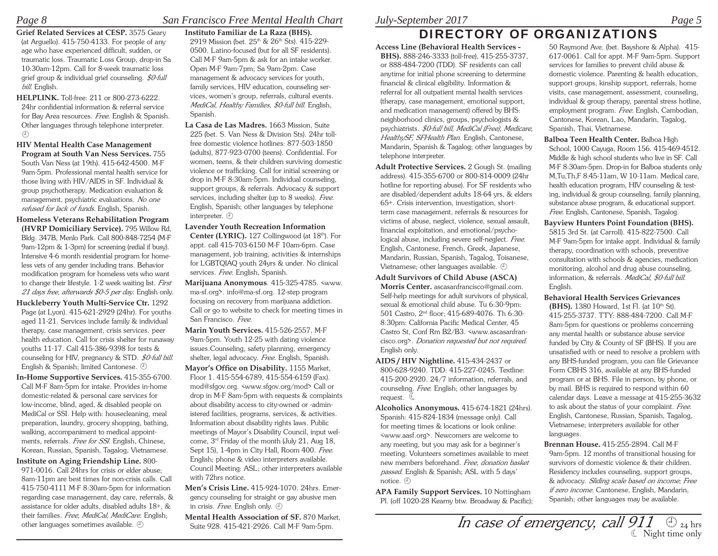### *Page 8 San Francisco Free Mental Health Chart*

 **Grief Related Services at CESP.** 3575 Geary (at Arguello). 415-750-4133. For people of any age who have experienced difficult, sudden, or traumatic loss. Traumatic Loss Group, drop-in Sa 10:30am-12pm. Call for 8-week traumatic loss grief group & individual grief counseling. *\$0-full bill.* English.

 **HELPLINK.** Toll-free: 211 or 800-273-6222. 24hr confidential information & referral service for Bay Area resources. *Free*. English & Spanish. Other languages through telephone interpreter.  $(\text{I})$ 

 **HIV Mental Health Case Management Program at South Van Ness Services.** 755 South Van Ness (at 19th). 415-642-4500. M-F 9am-5pm. Professional mental health service for those living with HIV/AIDS in SF. Individual & group psychotherapy. Medication evaluation & management, psychiatric evaluations. *No one refused for lack of funds.* English, Spanish.

 **Homeless Veterans Rehabilitation Program (HVRP Domiciliary Service).** 795 Willow Rd, Bldg. 347B, Menlo Park. Call 800-848-7254 (M-F 9am-12pm & 1-3pm) for screening (redial if busy). Intensive 4-6 month residential program for homeless vets of any gender including trans. Behavior modification program for homeless vets who want to change their lifestyle. 1-2 week waiting list. *First 21 days free, afterwards \$0-5 per day*. English only.

 **Huckleberry Youth Multi-Service Ctr.** 1292 Page (at Lyon). 415-621-2929 (24hr). For youths aged 11-21. Services include family & individual therapy, case management, crisis services. peer health education. Call for crisis shelter for runaway youths 11-17. Call 415-386-9398 for tests & counseling for HIV, pregnancy & STD. *\$0-full bill*. English & Spanish; limited Cantonese.

**In-Home Supportive Services.** 415-355-6700. Call M-F 8am-5pm for intake. Provides in-home domestic-related & personal care services for low-income, blind, aged, & disabled people on MediCal or SSI. Help with: housecleaning, meal preparation, laundry, grocery shopping, bathing, walking, accompaniment to medical appointments, referrals. *Free for SSI*. English, Chinese, Korean, Russian, Spanish, Tagalog, Vietnamese.

 **Institute on Aging Friendship Line.** 800- 971-0016. Call 24hrs for crisis or elder abuse; 8am-11pm are best times for non-crisis calls. Call 415-750-4111 M-F 8:30am-5pm for information regarding case management, day care, referrals, & assistance for older adults, disabled adults 18+, & their families. *Free, MediCal, MediCare*. English; other languages sometimes available.  $\oplus$ 

#### **Instituto Familiar de La Raza (BHS).** 2919 Mission (bet. 25<sup>th</sup> & 26<sup>th</sup> Sts). 415-229-0500. Latino-focused (but for all SF residents). Call M-F 9am-5pm & ask for an intake worker. Open M-F 9am-7pm; Sa 9am-2pm. Case management & advocacy services for youth, family services, HIV education, counseling services, women's group, referrals, cultural events. *MediCal, Healthy Families, \$0-full bill*. English, Spanish.

 **La Casa de Las Madres.** 1663 Mission, Suite 225 (bet. S. Van Ness & Division Sts). 24hr tollfree domestic violence hotlines: 877-503-1850 (adults), 877-923-0700 (teens). Confidential. For women, teens, & their children surviving domestic violence or trafficking. Call for initial screening or drop in M-F 8:30am-5pm. Individual counseling, support groups, & referrals. Advocacy & support services, including shelter (up to 8 weeks). *Free*. English, Spanish; other languages by telephone interpreter.  $\oplus$ 

 **Lavender Youth Recreation Information** Center (LYRIC). 127 Collingwood (at 18<sup>th</sup>). For appt. call 415-703-6150 M-F 10am-6pm. Case management, job training, activities & internships for LGBTQIAQ youth 24yrs & under. No clinical services. *Free*. English, Spanish.

 **Marijuana Anonymous**. 415-325-4785. <www. ma-sf.org>. info@ma-sf.org. 12-step program focusing on recovery from marijuana addiction. Call or go to website to check for meeting times in San Francisco. *Free*.

 **Marin Youth Services.** 415-526-2557, M-F 9am-5pm. Youth 12-25 with dating violence issues.Counseling, safety planning, emergency shelter, legal advocacy. *Free*. English, Spanish.

Mayor's Office on Disability. 1155 Market, Floor 1. 415-554-6789, 415-554-6159 (Fax). mod@sfgov.org. <www.sfgov.org/mod> Call or drop in M-F 8am-5pm with requests & complaints about disability access to city-owned or -administered facilities, programs, services, & activities. Information about disability rights laws. Public meetings of Mayor's Disability Council, input welcome, 3rd Friday of the month (July 21, Aug 18, Sept 15), 1-4pm in City Hall, Room 400. *Free*. English; phone & video interpreters available. Council Meeting: ASL; other interpreters available with 72hrs notice.

 **Men's Crisis Line.** 415-924-1070. 24hrs. Emergency counseling for straight or gay abusive men in crisis. *Free*. English only.

 **Mental Health Association of SF.** 870 Market,

## *July-September 2017 Page 5*

# DIRECTORY OF ORGANIZATIONS

 **Access Line (Behavioral Health Services - BHS).** 888-246-3333 (toll-free), 415-255-3737, or 888-484-7200 (TDD). SF residents can call anytime for initial phone screening to determine financial & clinical eligibility. Information & referral for all outpatient mental health services (therapy, case management, emotional support, and medication management) offered by BHS: neighborhood clinics, groups, psychologists & psychiatrists. *\$0-full bill, MediCal (Free), Medicare, HealthySF, SFHealth Plan*. English, Cantonese, Mandarin, Spanish & Tagalog; other languages by telephone interpreter.

- **Adult Protective Services.** 2 Gough St. (mailing address). 415-355-6700 or 800-814-0009 (24hr hotline for reporting abuse). For SF residents who are disabled/dependent adults 18-64 yrs, & elders 65+. Crisis intervention, investigation, shortterm case management, referrals & resources for victims of abuse, neglect, violence, sexual assault, financial exploitation, and emotional/psychological abuse, including severe self-neglect. *Free.* English, Cantonese, French, Greek, Japanese, Mandarin, Russian, Spanish, Tagalog, Toisanese, Vietnamese; other languages available.
- **Adult Survivors of Child Abuse (ASCA) Morris Center.** ascasanfrancisco@gmail.com. Self-help meetings for adult survivors of physical, sexual & emotional child abuse. Tu 6:30-9pm: 501 Castro, 2nd floor; 415-689-4076. Th 6:30- 8:30pm: California Pacific Medical Center, 45 Castro St, Conf Rm B2/B3. <www.ascasanfrancisco.org>. *Donation requested but not required*. English only.

 **AIDS / HIV Nightline.** 415-434-2437 or 800-628-9240. TDD: 415-227-0245. Textline: 415-200-2920. 24/7 information, referrals, and counseling. *Free*. English; other languages by request.  $\mathbb C$ 

  **Alcoholics Anonymous.** 415-674-1821 (24hrs). Spanish: 415-824-1834 (message only). Call for meeting times & locations or look online: <www.aasf.org>. Newcomers are welcome to any meeting, but you may ask for a beginner's meeting. Volunteers sometimes available to meet new members beforehand. *Free, donation basket passed*. English & Spanish; ASL with 5 days' notice.  $\mathbb \oplus$ 

**APA Family Support Services.** 10 Nottingham Pl. (off 1020-28 Kearny btw. Broadway & Pacific);

50 Raymond Ave. (bet. Bayshore & Alpha). 415- 617-0061. Call for appt. M-F 9am-5pm. Support services for families to prevent child abuse & domestic violence. Parenting & health education, support groups, kinship support, referrals, home visits, case management, assessment, counseling, individual & group therapy, parental stress hotline, employment program. *Free.* English, Cambodian, Cantonese, Korean, Lao, Mandarin, Tagalog, Spanish, Thai, Vietnamese.

- **Balboa Teen Health Center.** Balboa High School, 1000 Cayuga, Room 156. 415-469-4512. Middle & high school students who live in SF. Call M-F 8:30am-5pm. Drop-in for Balboa students only M,Tu,Th,F 8:45-11am, W 10-11am. Medical care, health education program, HIV counseling & testing, individual & group counseling, family planning, substance abuse program, & educational support. *Free.* English, Cantonese, Spanish, Tagalog.
- **Bayview Hunters Point Foundation (BHS).** 5815 3rd St. (at Carroll). 415-822-7500. Call M-F 9am-5pm for intake appt. Individual & family therapy, coordination with schools, preventive consultation with schools & agencies, medication monitoring, alcohol and drug abuse counseling, information, & referrals. *MediCal, \$0-full bill*. English.
- **Behavioral Health Services Grievances (BHS).** 1380 Howard, 1st Fl. (at 10<sup>th</sup> St). 415-255-3737. TTY: 888-484-7200. Call M-F 8am-5pm for questions or problems concerning any mental health or substance abuse service funded by City & County of SF (BHS). If you are unsatisfied with or need to resolve a problem with any BHS-funded program, you can file Grievance Form CBHS 316, available at any BHS-funded program or at BHS. File in person, by phone, or by mail. BHS is required to respond within 60 calendar days. Leave a message at 415-255-3632 to ask about the status of your complaint. *Free*. English, Cantonese, Russian, Spanish, Tagalog, Vietnamese; interpreters available for other languages.
- **Brennan House.** 415-255-2894. Call M-F 9am-5pm. 12 months of transitional housing for survivors of domestic violence & their children. Residency includes counseling, support groups, & advocacy. *Sliding scale based on income; Free if zero income.* Cantonese, English, Mandarin, Spanish; other languages may be available.

 $S_\text{D}$  and the sum association of Sr. 870 Market,  $In \, case \, of \, emergency, \, call \, 911 \, \oplus_{24} \, \text{hrs}$ Night time only